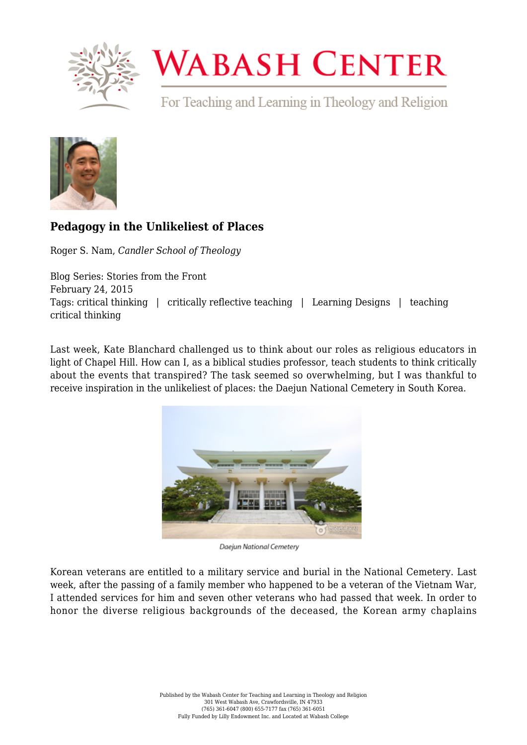

## **WABASH CENTER**

For Teaching and Learning in Theology and Religion



## **[Pedagogy in the Unlikeliest of Places](https://www.wabashcenter.wabash.edu/2015/02/pedagogy-in-the-unlikeliest-of-places/)**

Roger S. Nam, *Candler School of Theology*

Blog Series: Stories from the Front February 24, 2015 Tags: critical thinking | critically reflective teaching | Learning Designs | teaching critical thinking

Last week, [Kate Blanchard challenged us](https://www.wabashcenter.wabash.edu/2015/02/can-we-do-more-than-gawk/) to think about our roles as religious educators in light of Chapel Hill. How can I, as a biblical studies professor, teach students to think critically about the events that transpired? The task seemed so overwhelming, but I was thankful to receive inspiration in the unlikeliest of places: the Daejun National Cemetery in South Korea.



Daejun National Cemetery

Korean veterans are entitled to a military service and burial in the National Cemetery. Last week, after the passing of a family member who happened to be a veteran of the Vietnam War, I attended services for him and seven other veterans who had passed that week. In order to honor the diverse religious backgrounds of the deceased, the Korean army chaplains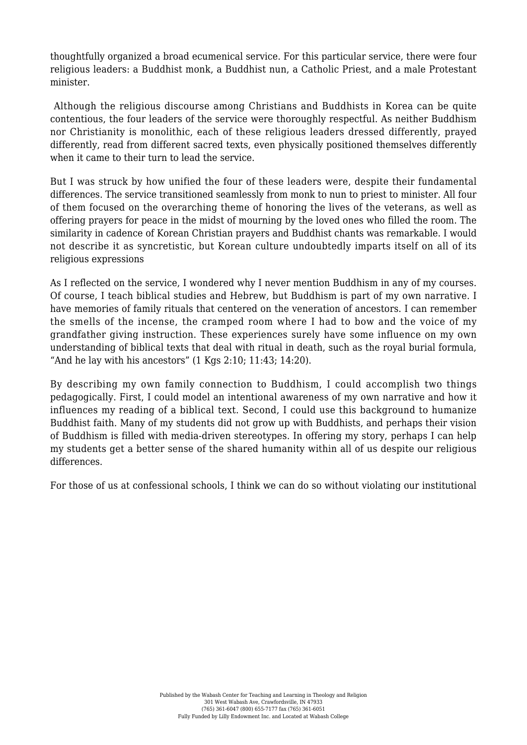thoughtfully organized a broad ecumenical service. For this particular service, there were four religious leaders: a Buddhist monk, a Buddhist nun, a Catholic Priest, and a male Protestant minister.

 Although the religious discourse among Christians and Buddhists in Korea can be quite contentious, the four leaders of the service were thoroughly respectful. As neither Buddhism nor Christianity is monolithic, each of these religious leaders dressed differently, prayed differently, read from different sacred texts, even physically positioned themselves differently when it came to their turn to lead the service.

But I was struck by how unified the four of these leaders were, despite their fundamental differences. The service transitioned seamlessly from monk to nun to priest to minister. All four of them focused on the overarching theme of honoring the lives of the veterans, as well as offering prayers for peace in the midst of mourning by the loved ones who filled the room. The similarity in cadence of Korean Christian prayers and Buddhist chants was remarkable. I would not describe it as syncretistic, but Korean culture undoubtedly imparts itself on all of its religious expressions

As I reflected on the service, I wondered why I never mention Buddhism in any of my courses. Of course, I teach biblical studies and Hebrew, but Buddhism is part of my own narrative. I have memories of family rituals that centered on the veneration of ancestors. I can remember the smells of the incense, the cramped room where I had to bow and the voice of my grandfather giving instruction. These experiences surely have some influence on my own understanding of biblical texts that deal with ritual in death, such as the royal burial formula, "And he lay with his ancestors" (1 Kgs 2:10; 11:43; 14:20).

By describing my own family connection to Buddhism, I could accomplish two things pedagogically. First, I could model an intentional awareness of my own narrative and how it influences my reading of a biblical text. Second, I could use this background to humanize Buddhist faith. Many of my students did not grow up with Buddhists, and perhaps their vision of Buddhism is filled with media-driven stereotypes. In offering my story, perhaps I can help my students get a better sense of the shared humanity within all of us despite our religious differences.

For those of us at confessional schools, I think we can do so without violating our institutional